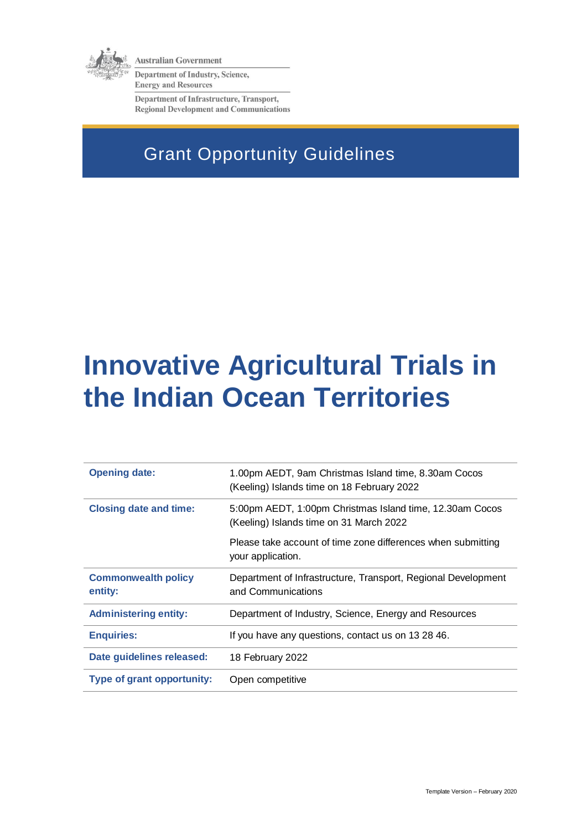

**Australian Government** 

**Department of Industry, Science, Energy and Resources** 

Department of Infrastructure, Transport, **Regional Development and Communications** 

# Grant Opportunity Guidelines

# **Innovative Agricultural Trials in the Indian Ocean Territories**

| <b>Opening date:</b>                  | 1.00pm AEDT, 9am Christmas Island time, 8.30am Cocos<br>(Keeling) Islands time on 18 February 2022  |
|---------------------------------------|-----------------------------------------------------------------------------------------------------|
| <b>Closing date and time:</b>         | 5:00pm AEDT, 1:00pm Christmas Island time, 12.30am Cocos<br>(Keeling) Islands time on 31 March 2022 |
|                                       | Please take account of time zone differences when submitting<br>your application.                   |
| <b>Commonwealth policy</b><br>entity: | Department of Infrastructure, Transport, Regional Development<br>and Communications                 |
| <b>Administering entity:</b>          | Department of Industry, Science, Energy and Resources                                               |
| <b>Enquiries:</b>                     | If you have any questions, contact us on 13 28 46.                                                  |
| Date guidelines released:             | 18 February 2022                                                                                    |
| <b>Type of grant opportunity:</b>     | Open competitive                                                                                    |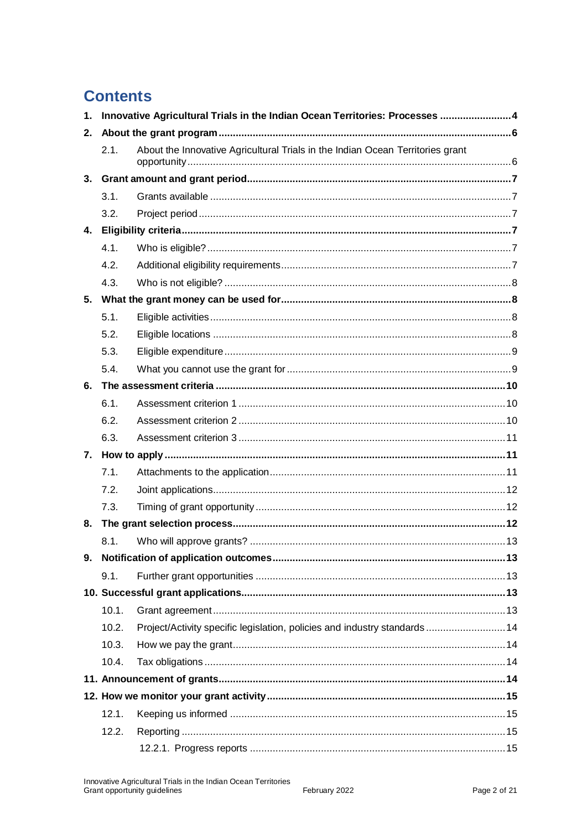# **Contents**

| 1. | Innovative Agricultural Trials in the Indian Ocean Territories: Processes  4 |                                                                                |  |
|----|------------------------------------------------------------------------------|--------------------------------------------------------------------------------|--|
| 2. |                                                                              |                                                                                |  |
|    | 2.1.                                                                         | About the Innovative Agricultural Trials in the Indian Ocean Territories grant |  |
|    |                                                                              |                                                                                |  |
|    | 3.1.                                                                         |                                                                                |  |
|    | 3.2.                                                                         |                                                                                |  |
| 4. |                                                                              |                                                                                |  |
|    | 4.1.                                                                         |                                                                                |  |
|    | 4.2.                                                                         |                                                                                |  |
|    | 4.3.                                                                         |                                                                                |  |
| 5. |                                                                              |                                                                                |  |
|    | 5.1.                                                                         |                                                                                |  |
|    | 5.2.                                                                         |                                                                                |  |
|    | 5.3.                                                                         |                                                                                |  |
|    | 5.4.                                                                         |                                                                                |  |
| 6. |                                                                              |                                                                                |  |
|    | 6.1.                                                                         |                                                                                |  |
|    | 6.2.                                                                         |                                                                                |  |
|    | 6.3.                                                                         |                                                                                |  |
|    |                                                                              |                                                                                |  |
|    | 7.1.                                                                         |                                                                                |  |
|    | 7.2.                                                                         |                                                                                |  |
|    | 7.3.                                                                         |                                                                                |  |
| 8. |                                                                              |                                                                                |  |
|    | 8.1.                                                                         |                                                                                |  |
|    |                                                                              |                                                                                |  |
|    | 9.1.                                                                         |                                                                                |  |
|    |                                                                              |                                                                                |  |
|    | 10.1.                                                                        |                                                                                |  |
|    | 10.2.                                                                        | Project/Activity specific legislation, policies and industry standards  14     |  |
|    | 10.3.                                                                        |                                                                                |  |
|    | 10.4.                                                                        |                                                                                |  |
|    |                                                                              |                                                                                |  |
|    |                                                                              |                                                                                |  |
|    | 12.1.                                                                        |                                                                                |  |
|    | 12.2.                                                                        |                                                                                |  |
|    |                                                                              |                                                                                |  |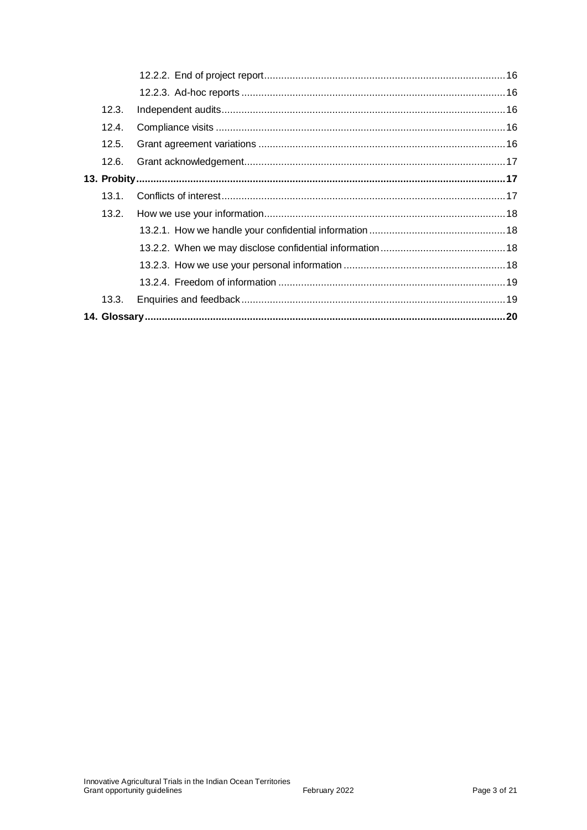|  | 12.3. |  |  |
|--|-------|--|--|
|  | 12.4. |  |  |
|  | 12.5. |  |  |
|  | 12.6. |  |  |
|  |       |  |  |
|  | 13.1. |  |  |
|  | 13.2. |  |  |
|  |       |  |  |
|  |       |  |  |
|  |       |  |  |
|  |       |  |  |
|  | 13.3. |  |  |
|  |       |  |  |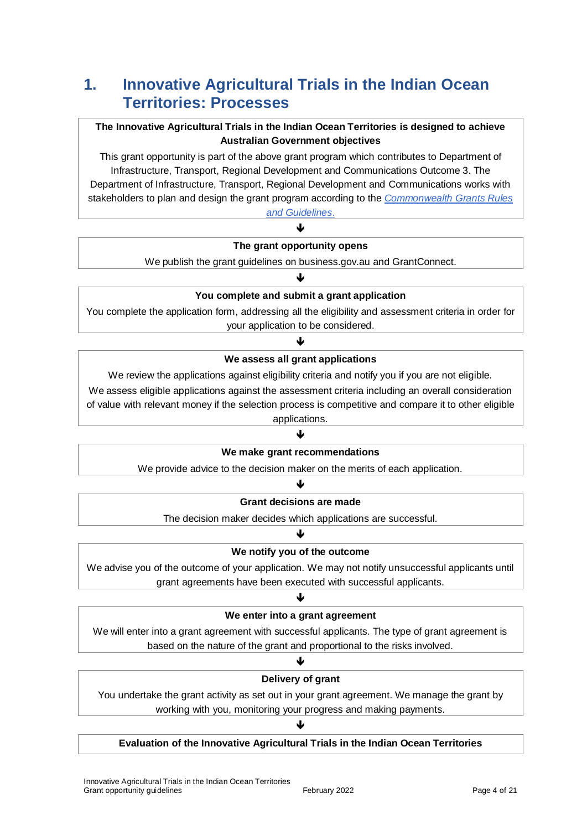# **1. Innovative Agricultural Trials in the Indian Ocean Territories: Processes**

#### **The Innovative Agricultural Trials in the Indian Ocean Territories is designed to achieve Australian Government objectives**

This grant opportunity is part of the above grant program which contributes to Department of Infrastructure, Transport, Regional Development and Communications Outcome 3. The Department of Infrastructure, Transport, Regional Development and Communications works with stakeholders to plan and design the grant program according to the *[Commonwealth Grants Rules](https://www.finance.gov.au/government/commonwealth-grants/commonwealth-grants-rules-guidelines)  [and Guidelines](https://www.finance.gov.au/government/commonwealth-grants/commonwealth-grants-rules-guidelines)*.

#### ↓

#### **The grant opportunity opens**

We publish the grant guidelines on business.gov.au and GrantConnect.

#### $\blacklozenge$ **You complete and submit a grant application**

You complete the application form, addressing all the eligibility and assessment criteria in order for your application to be considered.

#### J

#### **We assess all grant applications**

We review the applications against eligibility criteria and notify you if you are not eligible.

We assess eligible applications against the assessment criteria including an overall consideration of value with relevant money if the selection process is competitive and compare it to other eligible applications.

#### J

#### **We make grant recommendations**

We provide advice to the decision maker on the merits of each application. J

# **Grant decisions are made**

The decision maker decides which applications are successful. J

# **We notify you of the outcome**

We advise you of the outcome of your application. We may not notify unsuccessful applicants until grant agreements have been executed with successful applicants.

#### J

#### **We enter into a grant agreement**

We will enter into a grant agreement with successful applicants. The type of grant agreement is based on the nature of the grant and proportional to the risks involved.

### ↓ **Delivery of grant**

You undertake the grant activity as set out in your grant agreement. We manage the grant by working with you, monitoring your progress and making payments.

# ♦

**Evaluation of the Innovative Agricultural Trials in the Indian Ocean Territories**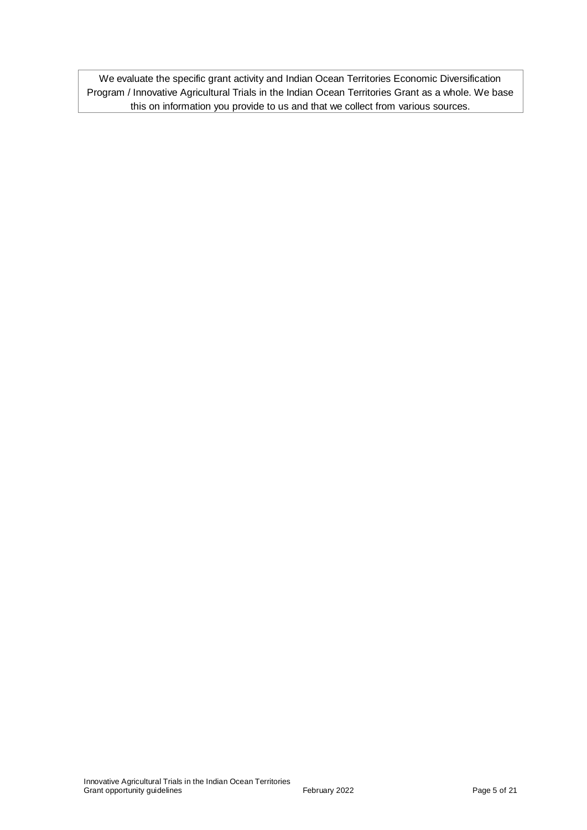We evaluate the specific grant activity and Indian Ocean Territories Economic Diversification Program / Innovative Agricultural Trials in the Indian Ocean Territories Grant as a whole. We base this on information you provide to us and that we collect from various sources.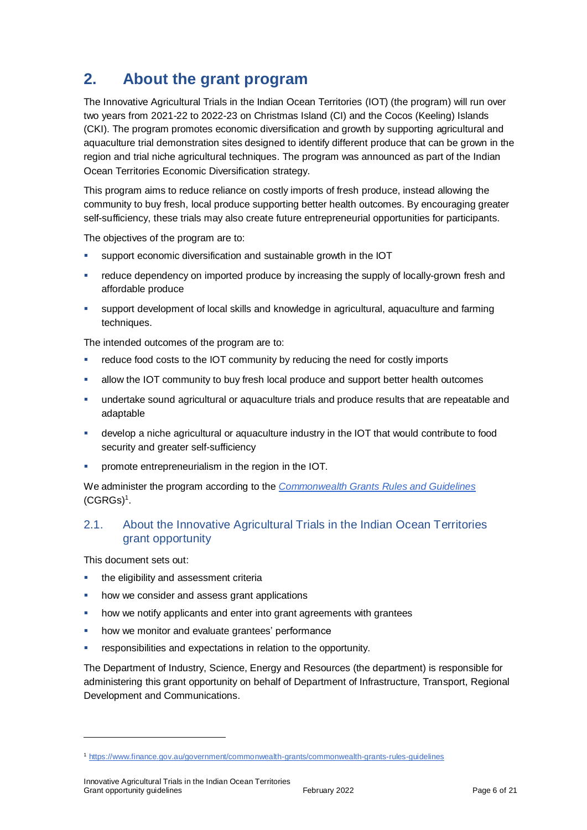# **2. About the grant program**

The Innovative Agricultural Trials in the Indian Ocean Territories (IOT) (the program) will run over two years from 2021-22 to 2022-23 on Christmas Island (CI) and the Cocos (Keeling) Islands (CKI). The program promotes economic diversification and growth by supporting agricultural and aquaculture trial demonstration sites designed to identify different produce that can be grown in the region and trial niche agricultural techniques. The program was announced as part of the Indian Ocean Territories Economic Diversification strategy.

This program aims to reduce reliance on costly imports of fresh produce, instead allowing the community to buy fresh, local produce supporting better health outcomes. By encouraging greater self-sufficiency, these trials may also create future entrepreneurial opportunities for participants.

The objectives of the program are to:

- support economic diversification and sustainable growth in the IOT
- **•** reduce dependency on imported produce by increasing the supply of locally-grown fresh and affordable produce
- support development of local skills and knowledge in agricultural, aquaculture and farming techniques.

The intended outcomes of the program are to:

- reduce food costs to the IOT community by reducing the need for costly imports
- allow the IOT community to buy fresh local produce and support better health outcomes
- undertake sound agricultural or aquaculture trials and produce results that are repeatable and adaptable
- develop a niche agricultural or aquaculture industry in the IOT that would contribute to food security and greater self-sufficiency
- promote entrepreneurialism in the region in the IOT.

We administer the program according to the *[Commonwealth Grants Rules and Guidelines](https://www.finance.gov.au/government/commonwealth-grants/commonwealth-grants-rules-guidelines)* [\(CGRGs\)](https://www.finance.gov.au/government/commonwealth-grants/commonwealth-grants-rules-guidelines)<sup>1</sup> .

### 2.1. About the Innovative Agricultural Trials in the Indian Ocean Territories grant opportunity

This document sets out:

 $\overline{a}$ 

- **the eligibility and assessment criterially**
- how we consider and assess grant applications
- how we notify applicants and enter into grant agreements with grantees
- how we monitor and evaluate grantees' performance
- **•** responsibilities and expectations in relation to the opportunity.

The Department of Industry, Science, Energy and Resources (the department) is responsible for administering this grant opportunity on behalf of Department of Infrastructure, Transport, Regional Development and Communications.

<sup>1</sup> <https://www.finance.gov.au/government/commonwealth-grants/commonwealth-grants-rules-guidelines>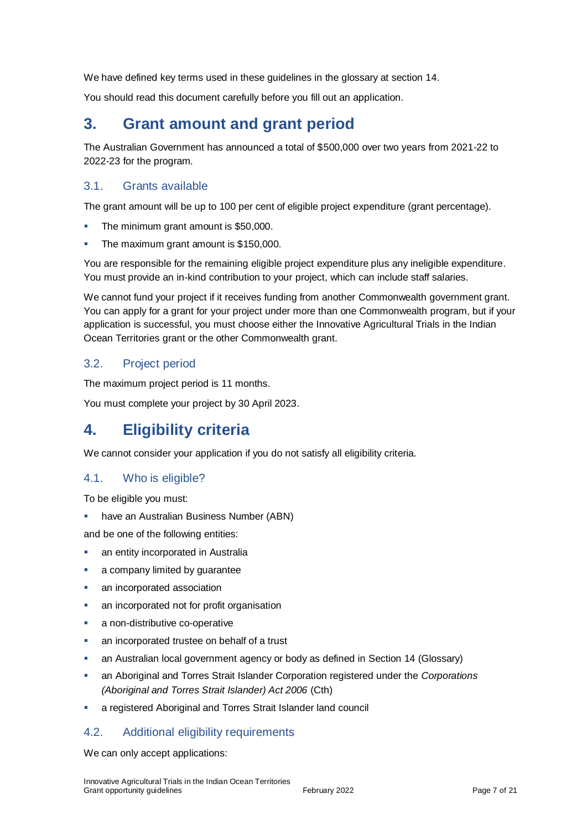We have defined key terms used in these guidelines in the glossary at section [14.](#page-19-0)

You should read this document carefully before you fill out an application.

# **3. Grant amount and grant period**

The Australian Government has announced a total of \$500,000 over two years from 2021-22 to 2022-23 for the program.

### 3.1. Grants available

The grant amount will be up to 100 per cent of eligible project expenditure (grant percentage).

- The minimum grant amount is \$50,000.
- The maximum grant amount is \$150,000.

You are responsible for the remaining eligible project expenditure plus any ineligible expenditure. You must provide an in-kind contribution to your project, which can include staff salaries.

We cannot fund your project if it receives funding from another Commonwealth government grant. You can apply for a grant for your project under more than one Commonwealth program, but if your application is successful, you must choose either the Innovative Agricultural Trials in the Indian Ocean Territories grant or the other Commonwealth grant.

### 3.2. Project period

The maximum project period is 11 months.

You must complete your project by 30 April 2023.

# **4. Eligibility criteria**

We cannot consider your application if you do not satisfy all eligibility criteria.

#### 4.1. Who is eligible?

To be eligible you must:

have an Australian Business Number (ABN)

and be one of the following entities:

- an entity incorporated in Australia
- a company limited by guarantee
- **a** an incorporated association
- an incorporated not for profit organisation
- a non-distributive co-operative
- an incorporated trustee on behalf of a trust
- an Australian local government agency or body as defined in Section 14 (Glossary)
- an Aboriginal and Torres Strait Islander Corporation registered under the *Corporations (Aboriginal and Torres Strait Islander) Act 2006* (Cth)
- a registered Aboriginal and Torres Strait Islander land council

#### 4.2. Additional eligibility requirements

We can only accept applications: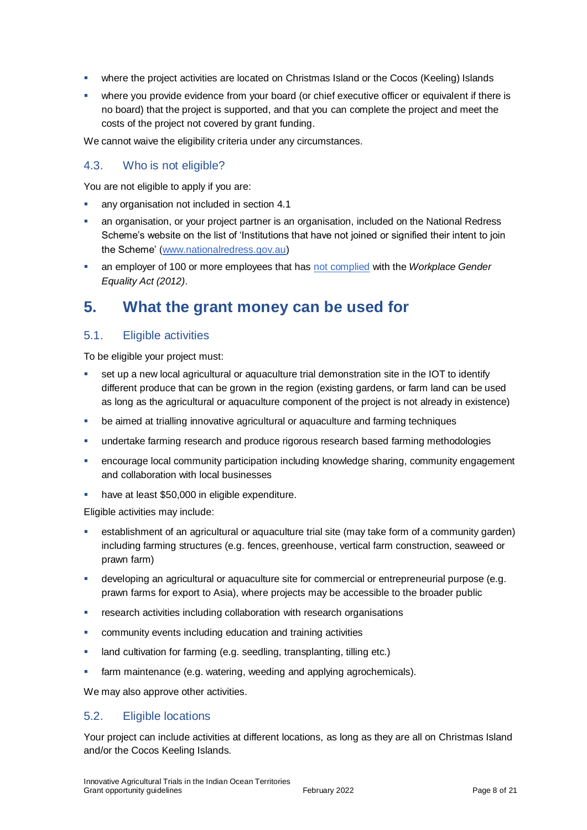- **•** where the project activities are located on Christmas Island or the Cocos (Keeling) Islands
- where you provide evidence from your board (or chief executive officer or equivalent if there is no board) that the project is supported, and that you can complete the project and meet the costs of the project not covered by grant funding.

We cannot waive the eligibility criteria under any circumstances.

# 4.3. Who is not eligible?

You are not eligible to apply if you are:

- any organisation not included in section 4.1
- an organisation, or your project partner is an organisation, included on the National Redress Scheme's website on the list of 'Institutions that have not joined or signified their intent to join the Scheme' [\(www.nationalredress.gov.au\)](http://www.nationalredress.gov.au/)
- an employer of 100 or more employees that has [not complied](https://www.wgea.gov.au/what-we-do/compliance-reporting/non-compliant-list) with the *Workplace Gender Equality Act (2012)*.

# **5. What the grant money can be used for**

# <span id="page-7-0"></span>5.1. Eligible activities

To be eligible your project must:

- set up a new local agricultural or aquaculture trial demonstration site in the IOT to identify different produce that can be grown in the region (existing gardens, or farm land can be used as long as the agricultural or aquaculture component of the project is not already in existence)
- be aimed at trialling innovative agricultural or aquaculture and farming techniques
- undertake farming research and produce rigorous research based farming methodologies
- encourage local community participation including knowledge sharing, community engagement and collaboration with local businesses
- have at least \$50,000 in eligible expenditure.

Eligible activities may include:

- establishment of an agricultural or aquaculture trial site (may take form of a community garden) including farming structures (e.g. fences, greenhouse, vertical farm construction, seaweed or prawn farm)
- developing an agricultural or aquaculture site for commercial or entrepreneurial purpose (e.g. prawn farms for export to Asia), where projects may be accessible to the broader public
- **FX** research activities including collaboration with research organisations
- community events including education and training activities
- **-** land cultivation for farming (e.g. seedling, transplanting, tilling etc.)
- **farm maintenance (e.g. watering, weeding and applying agrochemicals).**

We may also approve other activities.

#### 5.2. Eligible locations

Your project can include activities at different locations, as long as they are all on Christmas Island and/or the Cocos Keeling Islands.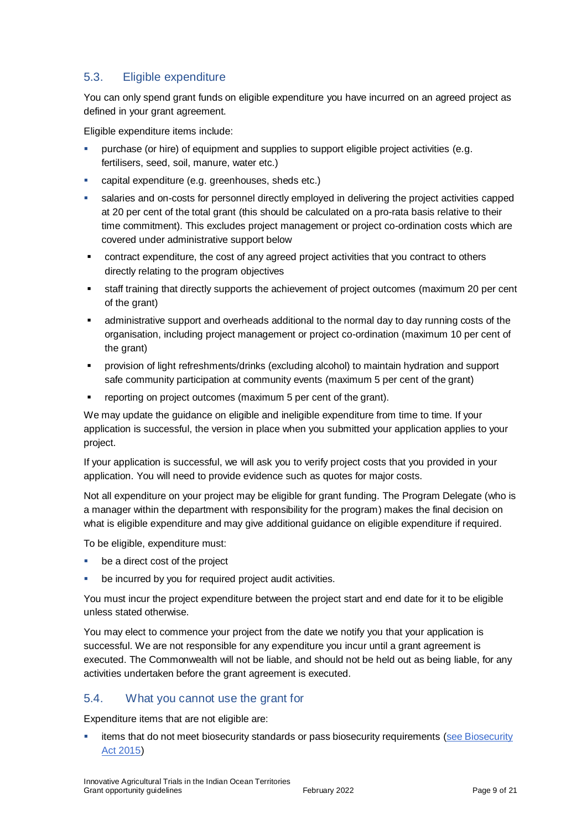# <span id="page-8-0"></span>5.3. Eligible expenditure

You can only spend grant funds on eligible expenditure you have incurred on an agreed project as defined in your grant agreement.

Eligible expenditure items include:

- purchase (or hire) of equipment and supplies to support eligible project activities (e.g. fertilisers, seed, soil, manure, water etc.)
- capital expenditure (e.g. greenhouses, sheds etc.)
- salaries and on-costs for personnel directly employed in delivering the project activities capped at 20 per cent of the total grant (this should be calculated on a pro-rata basis relative to their time commitment). This excludes project management or project co-ordination costs which are covered under administrative support below
- contract expenditure, the cost of any agreed project activities that you contract to others directly relating to the program objectives
- staff training that directly supports the achievement of project outcomes (maximum 20 per cent of the grant)
- administrative support and overheads additional to the normal day to day running costs of the organisation, including project management or project co-ordination (maximum 10 per cent of the grant)
- provision of light refreshments/drinks (excluding alcohol) to maintain hydration and support safe community participation at community events (maximum 5 per cent of the grant)
- reporting on project outcomes (maximum 5 per cent of the grant).

We may update the guidance on eligible and ineligible expenditure from time to time. If your application is successful, the version in place when you submitted your application applies to your project.

If your application is successful, we will ask you to verify project costs that you provided in your application. You will need to provide evidence such as quotes for major costs.

Not all expenditure on your project may be eligible for grant funding. The Program Delegate (who is a manager within the department with responsibility for the program) makes the final decision on what is eligible expenditure and may give additional guidance on eligible expenditure if required.

To be eligible, expenditure must:

- be a direct cost of the project
- be incurred by you for required project audit activities.

You must incur the project expenditure between the project start and end date for it to be eligible unless stated otherwise.

You may elect to commence your project from the date we notify you that your application is successful. We are not responsible for any expenditure you incur until a grant agreement is executed. The Commonwealth will not be liable, and should not be held out as being liable, for any activities undertaken before the grant agreement is executed.

# 5.4. What you cannot use the grant for

Expenditure items that are not eligible are:

items that do not meet biosecurity standards or pass biosecurity requirements (see Biosecurity [Act 2015\)](https://www.agriculture.gov.au/biosecurity/legislation/biosecurity-legislation)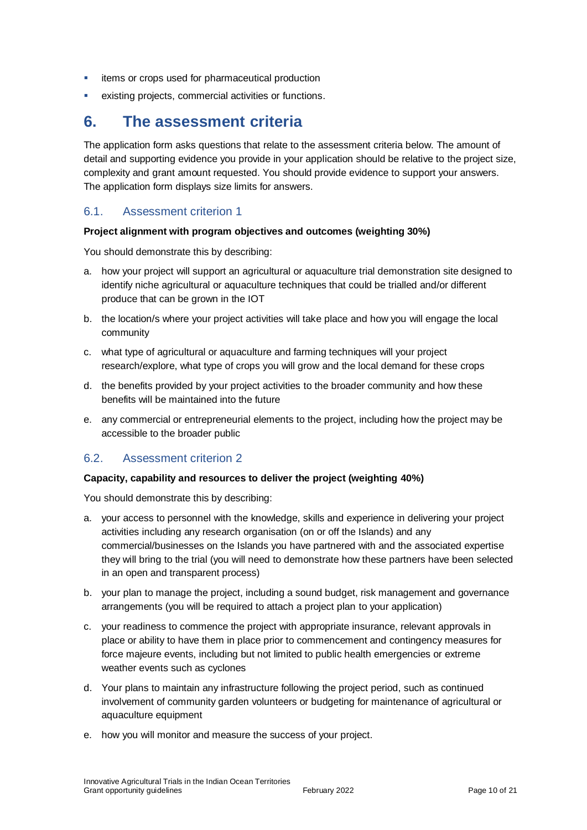- **·** items or crops used for pharmaceutical production
- existing projects, commercial activities or functions.

# **6. The assessment criteria**

The application form asks questions that relate to the assessment criteria below. The amount of detail and supporting evidence you provide in your application should be relative to the project size, complexity and grant amount requested. You should provide evidence to support your answers. The application form displays size limits for answers.

### 6.1. Assessment criterion 1

#### **Project alignment with program objectives and outcomes (weighting 30%)**

You should demonstrate this by describing:

- a. how your project will support an agricultural or aquaculture trial demonstration site designed to identify niche agricultural or aquaculture techniques that could be trialled and/or different produce that can be grown in the IOT
- b. the location/s where your project activities will take place and how you will engage the local community
- c. what type of agricultural or aquaculture and farming techniques will your project research/explore, what type of crops you will grow and the local demand for these crops
- d. the benefits provided by your project activities to the broader community and how these benefits will be maintained into the future
- e. any commercial or entrepreneurial elements to the project, including how the project may be accessible to the broader public

# 6.2. Assessment criterion 2

#### **Capacity, capability and resources to deliver the project (weighting 40%)**

You should demonstrate this by describing:

- a. your access to personnel with the knowledge, skills and experience in delivering your project activities including any research organisation (on or off the Islands) and any commercial/businesses on the Islands you have partnered with and the associated expertise they will bring to the trial (you will need to demonstrate how these partners have been selected in an open and transparent process)
- b. your plan to manage the project, including a sound budget, risk management and governance arrangements (you will be required to attach a project plan to your application)
- c. your readiness to commence the project with appropriate insurance, relevant approvals in place or ability to have them in place prior to commencement and contingency measures for force majeure events, including but not limited to public health emergencies or extreme weather events such as cyclones
- d. Your plans to maintain any infrastructure following the project period, such as continued involvement of community garden volunteers or budgeting for maintenance of agricultural or aquaculture equipment
- e. how you will monitor and measure the success of your project.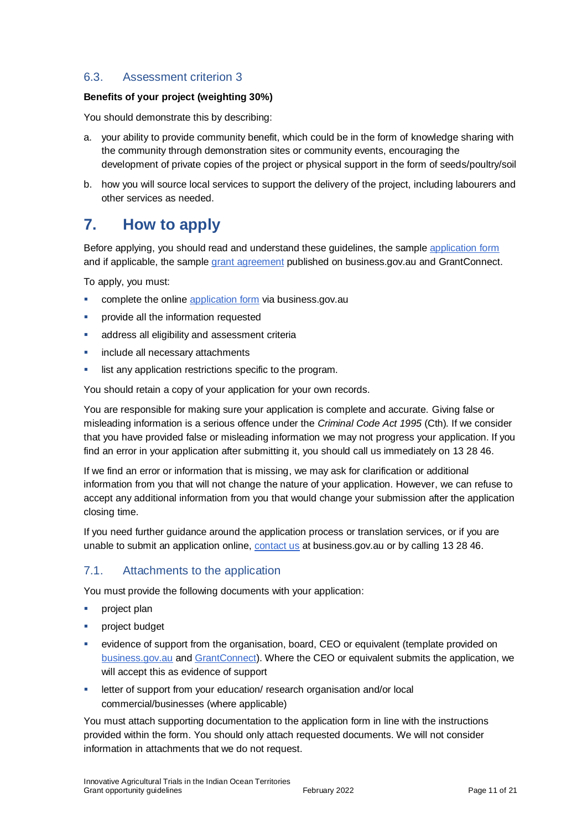# 6.3. Assessment criterion 3

#### **Benefits of your project (weighting 30%)**

You should demonstrate this by describing:

- a. your ability to provide community benefit, which could be in the form of knowledge sharing with the community through demonstration sites or community events, encouraging the development of private copies of the project or physical support in the form of seeds/poultry/soil
- b. how you will source local services to support the delivery of the project, including labourers and other services as needed.

# **7. How to apply**

Before applying, you should read and understand these guidelines, the sample [application form](https://business.gov.au/grants-and-programs/innovative-agricultural-trials-in-indian-ocean-territories#keydocuments) and if applicable, the sample [grant agreement](https://business.gov.au/grants-and-programs/innovative-agricultural-trials-in-indian-ocean-territories#keydocuments) published on business.gov.au and GrantConnect.

To apply, you must:

- complete the online [application form](https://business.gov.au/grants-and-programs/innovative-agricultural-trials-in-indian-ocean-territories#keydocuments) via business.gov.au
- **•** provide all the information requested
- address all eligibility and assessment criteria
- **imclude all necessary attachments**
- list any application restrictions specific to the program.

You should retain a copy of your application for your own records.

You are responsible for making sure your application is complete and accurate. Giving false or misleading information is a serious offence under the *Criminal Code Act 1995* (Cth). If we consider that you have provided false or misleading information we may not progress your application. If you find an error in your application after submitting it, you should call us immediately on 13 28 46.

If we find an error or information that is missing, we may ask for clarification or additional information from you that will not change the nature of your application. However, we can refuse to accept any additional information from you that would change your submission after the application closing time.

If you need further guidance around the application process or translation services, or if you are unable to submit an application online, [contact us](https://www.business.gov.au/contact-us) at business.gov.au or by calling 13 28 46.

#### 7.1. Attachments to the application

You must provide the following documents with your application:

- **project plan**
- **•** project budget
- evidence of support from the organisation, board, CEO or equivalent (template provided on [business.gov.au](https://business.gov.au/grants-and-programs/innovative-agricultural-trials-in-indian-ocean-territories#keydocuments) an[d GrantConnect\)](http://www.grants.gov.au/). Where the CEO or equivalent submits the application, we will accept this as evidence of support
- **EXECTE FIELD EXECTE FIELD FIELD FIELD** research organisation and/or local commercial/businesses (where applicable)

You must attach supporting documentation to the application form in line with the instructions provided within the form. You should only attach requested documents. We will not consider information in attachments that we do not request.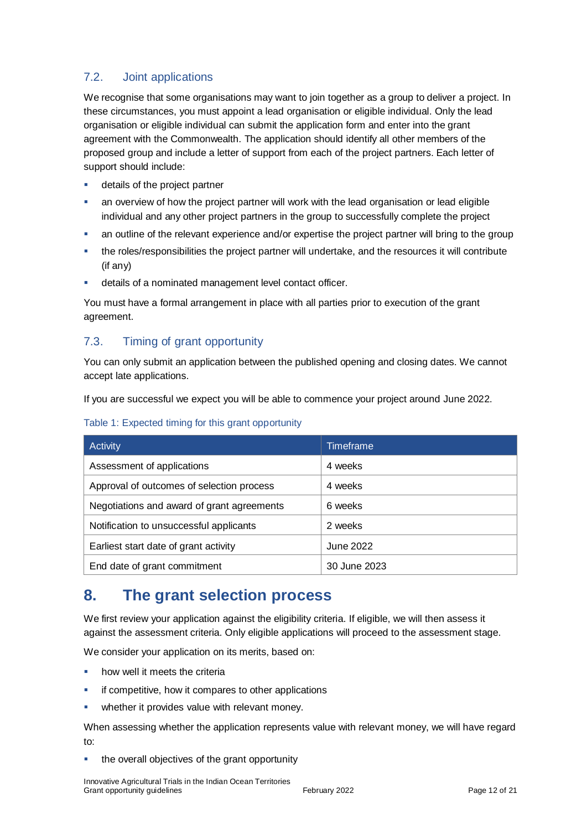# 7.2. Joint applications

We recognise that some organisations may want to join together as a group to deliver a project. In these circumstances, you must appoint a lead organisation or eligible individual. Only the lead organisation or eligible individual can submit the application form and enter into the grant agreement with the Commonwealth. The application should identify all other members of the proposed group and include a letter of support from each of the project partners. Each letter of support should include:

- **details of the project partner**
- an overview of how the project partner will work with the lead organisation or lead eligible individual and any other project partners in the group to successfully complete the project
- an outline of the relevant experience and/or expertise the project partner will bring to the group
- the roles/responsibilities the project partner will undertake, and the resources it will contribute (if any)
- **details of a nominated management level contact officer.**

You must have a formal arrangement in place with all parties prior to execution of the grant agreement.

# 7.3. Timing of grant opportunity

You can only submit an application between the published opening and closing dates. We cannot accept late applications.

If you are successful we expect you will be able to commence your project around June 2022.

| Table 1: Expected timing for this grant opportunity |                  |  |
|-----------------------------------------------------|------------------|--|
| Activity                                            | <b>Timeframe</b> |  |
| Assessment of applications                          | 4 weeks          |  |
| Approval of outcomes of selection process           | 4 weeks          |  |
| Negotiations and award of grant agreements          | 6 weeks          |  |
| Notification to unsuccessful applicants             | 2 weeks          |  |
| Earliest start date of grant activity               | June 2022        |  |
| End date of grant commitment                        | 30 June 2023     |  |

#### Table 1: Expected timing for this grant opportunity

# **8. The grant selection process**

We first review your application against the eligibility criteria. If eligible, we will then assess it against the assessment criteria. Only eligible applications will proceed to the assessment stage.

We consider your application on its merits, based on:

- **•** how well it meets the criteria
- **EXEDEE if competitive, how it compares to other applications**
- **•** whether it provides value with relevant money.

When assessing whether the application represents value with relevant money, we will have regard to:

**the overall objectives of the grant opportunity**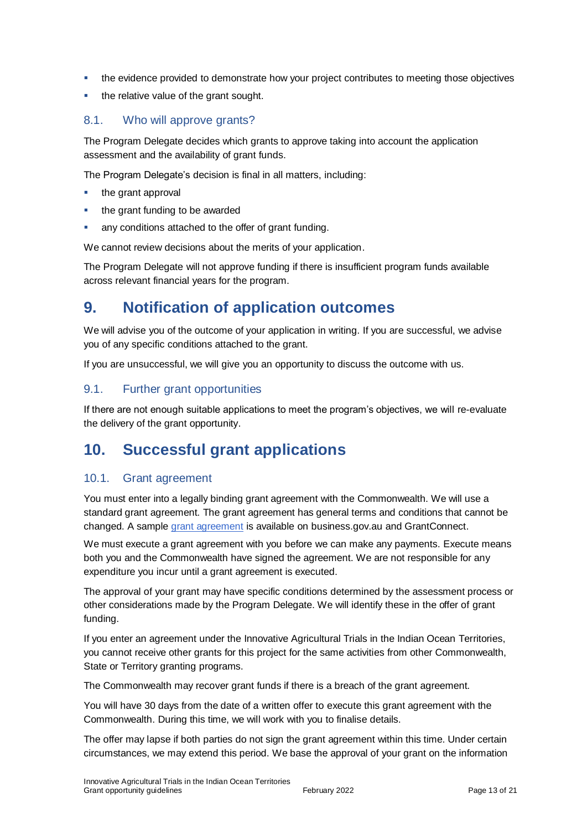- the evidence provided to demonstrate how your project contributes to meeting those objectives
- the relative value of the grant sought.

### 8.1. Who will approve grants?

The Program Delegate decides which grants to approve taking into account the application assessment and the availability of grant funds.

The Program Delegate's decision is final in all matters, including:

- the grant approval
- the grant funding to be awarded
- any conditions attached to the offer of grant funding.

We cannot review decisions about the merits of your application.

The Program Delegate will not approve funding if there is insufficient program funds available across relevant financial years for the program.

# **9. Notification of application outcomes**

We will advise you of the outcome of your application in writing. If you are successful, we advise you of any specific conditions attached to the grant.

If you are unsuccessful, we will give you an opportunity to discuss the outcome with us.

### 9.1. Further grant opportunities

If there are not enough suitable applications to meet the program's objectives, we will re-evaluate the delivery of the grant opportunity.

# **10. Successful grant applications**

#### 10.1. Grant agreement

You must enter into a legally binding grant agreement with the Commonwealth. We will use a standard grant agreement. The grant agreement has general terms and conditions that cannot be changed. A sample [grant agreement](https://business.gov.au/grants-and-programs/innovative-agricultural-trials-in-indian-ocean-territories#keydocuments) is available on business.gov.au and GrantConnect.

We must execute a grant agreement with you before we can make any payments. Execute means both you and the Commonwealth have signed the agreement. We are not responsible for any expenditure you incur until a grant agreement is executed.

The approval of your grant may have specific conditions determined by the assessment process or other considerations made by the Program Delegate. We will identify these in the offer of grant funding.

If you enter an agreement under the Innovative Agricultural Trials in the Indian Ocean Territories, you cannot receive other grants for this project for the same activities from other Commonwealth, State or Territory granting programs.

The Commonwealth may recover grant funds if there is a breach of the grant agreement.

You will have 30 days from the date of a written offer to execute this grant agreement with the Commonwealth. During this time, we will work with you to finalise details.

The offer may lapse if both parties do not sign the grant agreement within this time. Under certain circumstances, we may extend this period. We base the approval of your grant on the information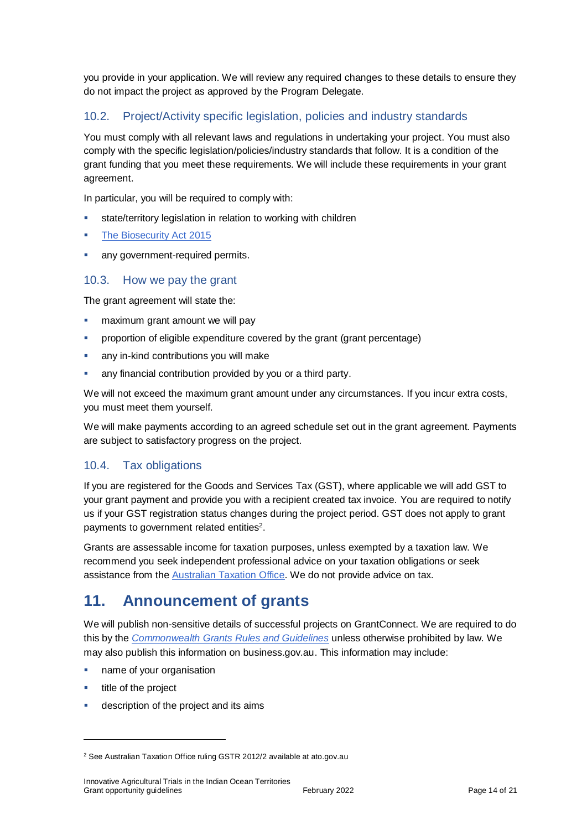you provide in your application. We will review any required changes to these details to ensure they do not impact the project as approved by the Program Delegate.

# 10.2. Project/Activity specific legislation, policies and industry standards

You must comply with all relevant laws and regulations in undertaking your project. You must also comply with the specific legislation/policies/industry standards that follow. It is a condition of the grant funding that you meet these requirements. We will include these requirements in your grant agreement.

In particular, you will be required to comply with:

- state/territory legislation in relation to working with children
- [The Biosecurity Act 2015](https://www.agriculture.gov.au/biosecurity/legislation/biosecurity-legislation)
- any government-required permits.

### 10.3. How we pay the grant

The grant agreement will state the:

- maximum grant amount we will pay
- **•** proportion of eligible expenditure covered by the grant (grant percentage)
- any in-kind contributions you will make
- any financial contribution provided by you or a third party.

We will not exceed the maximum grant amount under any circumstances. If you incur extra costs, you must meet them yourself.

We will make payments according to an agreed schedule set out in the grant agreement. Payments are subject to satisfactory progress on the project.

# 10.4. Tax obligations

If you are registered for the Goods and Services Tax (GST), where applicable we will add GST to your grant payment and provide you with a recipient created tax invoice. You are required to notify us if your GST registration status changes during the project period. GST does not apply to grant payments to government related entities<sup>2</sup>.

Grants are assessable income for taxation purposes, unless exempted by a taxation law. We recommend you seek independent professional advice on your taxation obligations or seek assistance from the [Australian Taxation Office.](https://www.ato.gov.au/) We do not provide advice on tax.

# **11. Announcement of grants**

We will publish non-sensitive details of successful projects on GrantConnect. We are required to do this by the *[Commonwealth Grants Rules and Guidelines](https://www.finance.gov.au/government/commonwealth-grants/commonwealth-grants-rules-guidelines)* unless otherwise prohibited by law. We may also publish this information on business.gov.au. This information may include:

- name of your organisation
- **title of the project**

 $\overline{a}$ 

description of the project and its aims

<sup>2</sup> See Australian Taxation Office ruling GSTR 2012/2 available at ato.gov.au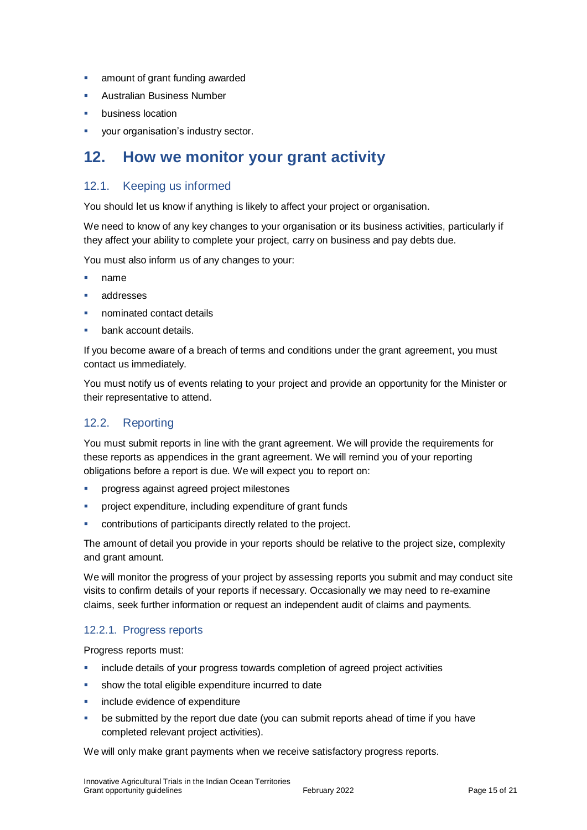- **amount of grant funding awarded**
- **Australian Business Number**
- business location
- **vour organisation's industry sector.**

# **12. How we monitor your grant activity**

# 12.1. Keeping us informed

You should let us know if anything is likely to affect your project or organisation.

We need to know of any key changes to your organisation or its business activities, particularly if they affect your ability to complete your project, carry on business and pay debts due.

You must also inform us of any changes to your:

- name
- addresses
- nominated contact details
- bank account details.

If you become aware of a breach of terms and conditions under the grant agreement, you must contact us immediately.

You must notify us of events relating to your project and provide an opportunity for the Minister or their representative to attend.

# 12.2. Reporting

You must submit reports in line with the [grant agreement.](file://///prod.protected.ind/User/user03/LLau2/insert%20link%20here) We will provide the requirements for these reports as appendices in the grant agreement. We will remind you of your reporting obligations before a report is due. We will expect you to report on:

- **•** progress against agreed project milestones
- project expenditure, including expenditure of grant funds
- contributions of participants directly related to the project.

The amount of detail you provide in your reports should be relative to the project size, complexity and grant amount.

We will monitor the progress of your project by assessing reports you submit and may conduct site visits to confirm details of your reports if necessary. Occasionally we may need to re-examine claims, seek further information or request an independent audit of claims and payments.

#### 12.2.1. Progress reports

Progress reports must:

- include details of your progress towards completion of agreed project activities
- show the total eligible expenditure incurred to date
- include evidence of expenditure
- be submitted by the report due date (you can submit reports ahead of time if you have completed relevant project activities).

We will only make grant payments when we receive satisfactory progress reports.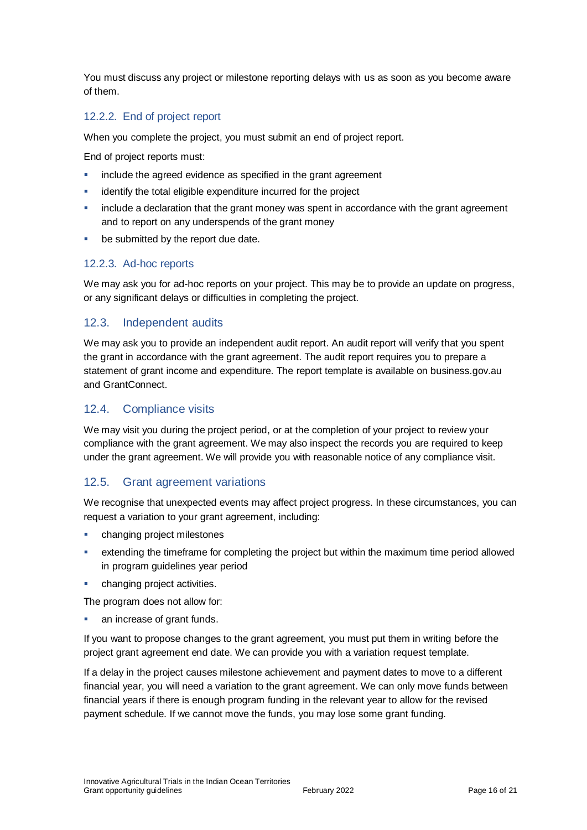You must discuss any project or milestone reporting delays with us as soon as you become aware of them.

# 12.2.2. End of project report

When you complete the project, you must submit an end of project report.

End of project reports must:

- include the agreed evidence as specified in the grant agreement
- identify the total eligible expenditure incurred for the project
- include a declaration that the grant money was spent in accordance with the grant agreement and to report on any underspends of the grant money
- **be submitted by the report due date.**

#### 12.2.3. Ad-hoc reports

We may ask you for ad-hoc reports on your project. This may be to provide an update on progress, or any significant delays or difficulties in completing the project.

### 12.3. Independent audits

We may ask you to provide an independent audit report. An audit report will verify that you spent the grant in accordance with the grant agreement. The audit report requires you to prepare a statement of grant income and expenditure. The report template is available on business.gov.au and GrantConnect.

### 12.4. Compliance visits

We may visit you during the project period, or at the completion of your project to review your compliance with the grant agreement. We may also inspect the records you are required to keep under the grant agreement. We will provide you with reasonable notice of any compliance visit.

#### 12.5. Grant agreement variations

We recognise that unexpected events may affect project progress. In these circumstances, you can request a variation to your grant agreement, including:

- changing project milestones
- extending the timeframe for completing the project but within the maximum time period allowed in program guidelines year period
- changing project activities.

The program does not allow for:

an increase of grant funds.

If you want to propose changes to the grant agreement, you must put them in writing before the project grant agreement end date. We can provide you with a variation request template.

If a delay in the project causes milestone achievement and payment dates to move to a different financial year, you will need a variation to the grant agreement. We can only move funds between financial years if there is enough program funding in the relevant year to allow for the revised payment schedule. If we cannot move the funds, you may lose some grant funding.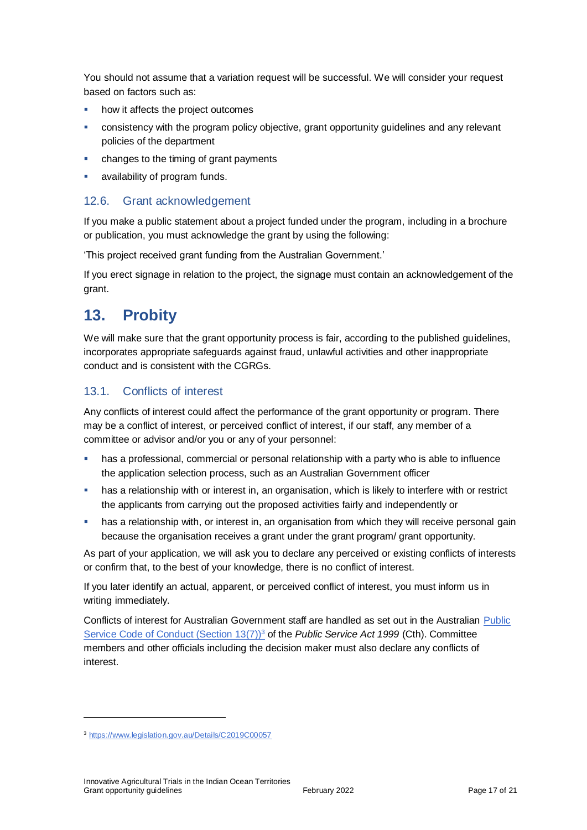You should not assume that a variation request will be successful. We will consider your request based on factors such as:

- how it affects the project outcomes
- consistency with the program policy objective, grant opportunity guidelines and any relevant policies of the department
- changes to the timing of grant payments
- availability of program funds.

### 12.6. Grant acknowledgement

If you make a public statement about a project funded under the program, including in a brochure or publication, you must acknowledge the grant by using the following:

'This project received grant funding from the Australian Government.'

If you erect signage in relation to the project, the signage must contain an acknowledgement of the grant.

# **13. Probity**

We will make sure that the grant opportunity process is fair, according to the published guidelines, incorporates appropriate safeguards against fraud, unlawful activities and other inappropriate conduct and is consistent with the CGRGs.

# 13.1. Conflicts of interest

Any conflicts of interest could affect the performance of the grant opportunity or program. There may be a [conflict of interest,](http://www.apsc.gov.au/publications-and-media/current-publications/aps-values-and-code-of-conduct-in-practice/conflict-of-interest) or perceived conflict of interest, if our staff, any member of a committee or advisor and/or you or any of your personnel:

- has a professional, commercial or personal relationship with a party who is able to influence the application selection process, such as an Australian Government officer
- has a relationship with or interest in, an organisation, which is likely to interfere with or restrict the applicants from carrying out the proposed activities fairly and independently or
- **•** has a relationship with, or interest in, an organisation from which they will receive personal gain because the organisation receives a grant under the grant program/ grant opportunity.

As part of your application, we will ask you to declare any perceived or existing conflicts of interests or confirm that, to the best of your knowledge, there is no conflict of interest.

If you later identify an actual, apparent, or perceived conflict of interest, you must inform us in writing immediately.

Conflicts of interest for Australian Government staff are handled as set out in the Australian [Public](https://www.legislation.gov.au/Details/C2019C00057)  [Service Code of Conduct \(Section 13\(7\)\)](https://www.legislation.gov.au/Details/C2019C00057)<sup>3</sup> of the *Public Service Act 1999* (Cth). Committee members and other officials including the decision maker must also declare any conflicts of interest.

 $\overline{a}$ 

<sup>3</sup> https://www.legislation.gov.au/Details/C2019C00057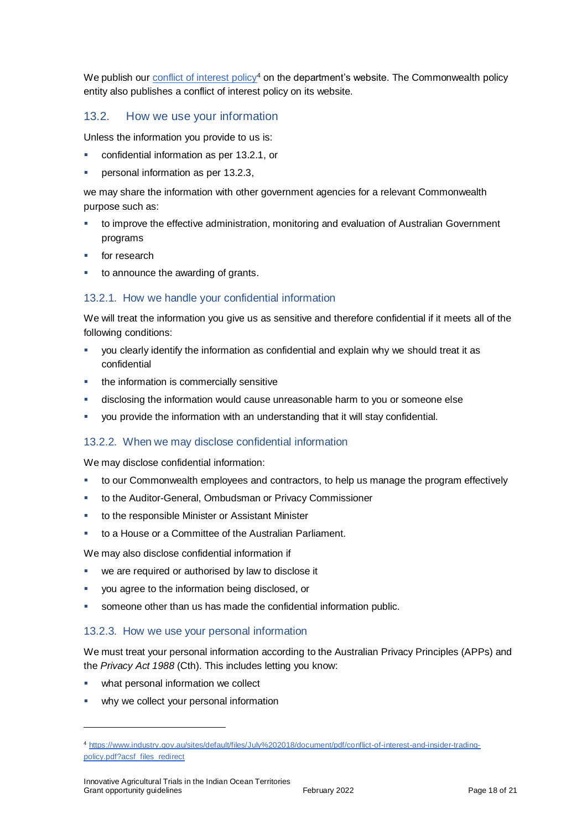We publish ou[r conflict of interest policy](https://www.industry.gov.au/sites/g/files/net3906/f/July%202018/document/pdf/conflict-of-interest-and-insider-trading-policy.pdf)<sup>4</sup> on the department's website. The Commonwealth policy entity also publishes a conflict of interest policy on its website.

### 13.2. How we use your information

Unless the information you provide to us is:

- confidential information as per [13.2.1,](#page-17-0) or
- personal information as per [13.2.3,](#page-17-1)

we may share the information with other government agencies for a relevant Commonwealth purpose such as:

- to improve the effective administration, monitoring and evaluation of Australian Government programs
- for research
- to announce the awarding of grants.

#### <span id="page-17-0"></span>13.2.1. How we handle your confidential information

We will treat the information you give us as sensitive and therefore confidential if it meets all of the following conditions:

- you clearly identify the information as confidential and explain why we should treat it as confidential
- the information is commercially sensitive
- disclosing the information would cause unreasonable harm to you or someone else
- you provide the information with an understanding that it will stay confidential.

#### 13.2.2. When we may disclose confidential information

We may disclose confidential information:

- to our Commonwealth employees and contractors, to help us manage the program effectively
- to the Auditor-General, Ombudsman or Privacy Commissioner
- to the responsible Minister or Assistant Minister
- to a House or a Committee of the Australian Parliament.

We may also disclose confidential information if

- we are required or authorised by law to disclose it
- you agree to the information being disclosed, or
- someone other than us has made the confidential information public.

#### <span id="page-17-1"></span>13.2.3. How we use your personal information

We must treat your personal information according to the Australian Privacy Principles (APPs) and the *Privacy Act 1988* (Cth). This includes letting you know:

what personal information we collect

 $\overline{a}$ 

why we collect your personal information

<sup>4</sup> [https://www.industry.gov.au/sites/default/files/July%202018/document/pdf/conflict-of-interest-and-insider-trading](https://www.industry.gov.au/sites/default/files/July%202018/document/pdf/conflict-of-interest-and-insider-trading-policy.pdf?acsf_files_redirect)[policy.pdf?acsf\\_files\\_redirect](https://www.industry.gov.au/sites/default/files/July%202018/document/pdf/conflict-of-interest-and-insider-trading-policy.pdf?acsf_files_redirect)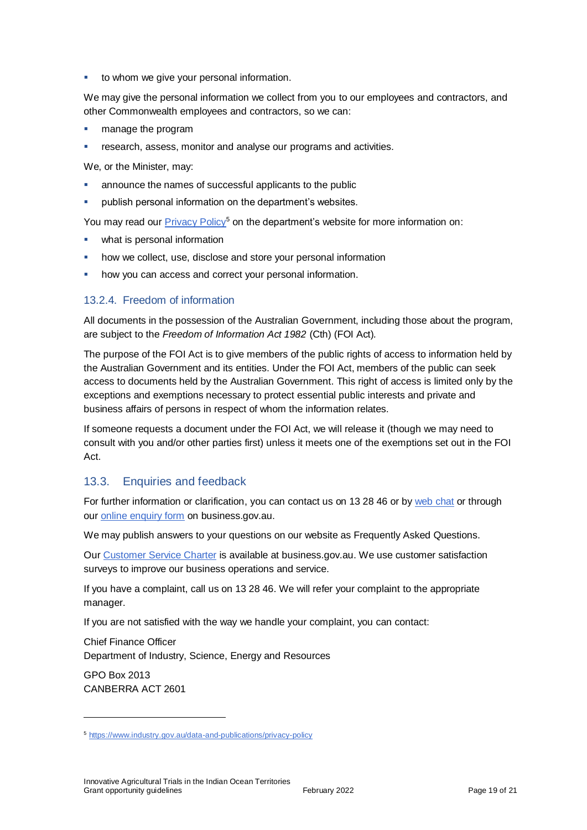to whom we give your personal information.

We may give the personal information we collect from you to our employees and contractors, and other Commonwealth employees and contractors, so we can:

- manage the program
- research, assess, monitor and analyse our programs and activities.

We, or the Minister, may:

- announce the names of successful applicants to the public
- publish personal information on the department's websites.

You may read our [Privacy Policy](https://www.industry.gov.au/data-and-publications/privacy-policy)<sup>5</sup> on the department's website for more information on:

- what is personal information
- how we collect, use, disclose and store your personal information
- how you can access and correct your personal information.

#### 13.2.4. Freedom of information

All documents in the possession of the Australian Government, including those about the program, are subject to the *Freedom of Information Act 1982* (Cth) (FOI Act)*.*

The purpose of the FOI Act is to give members of the public rights of access to information held by the Australian Government and its entities. Under the FOI Act, members of the public can seek access to documents held by the Australian Government. This right of access is limited only by the exceptions and exemptions necessary to protect essential public interests and private and business affairs of persons in respect of whom the information relates.

If someone requests a document under the FOI Act, we will release it (though we may need to consult with you and/or other parties first) unless it meets one of the exemptions set out in the FOI Act.

#### 13.3. Enquiries and feedback

For further information or clarification, you can contact us on 13 28 46 or by [web chat](https://www.business.gov.au/contact-us) or through our [online enquiry form](http://www.business.gov.au/contact-us/Pages/default.aspx) on business.gov.au.

We may publish answers to your questions on our website as Frequently Asked Questions.

Our [Customer Service Charter](https://www.business.gov.au/about/customer-service-charter) is available at [business.gov.au.](http://www.business.gov.au/) We use customer satisfaction surveys to improve our business operations and service.

If you have a complaint, call us on 13 28 46. We will refer your complaint to the appropriate manager.

If you are not satisfied with the way we handle your complaint, you can contact:

Chief Finance Officer Department of Industry, Science, Energy and Resources

GPO Box 2013 CANBERRA ACT 2601

 $\overline{a}$ 

<sup>5</sup> <https://www.industry.gov.au/data-and-publications/privacy-policy>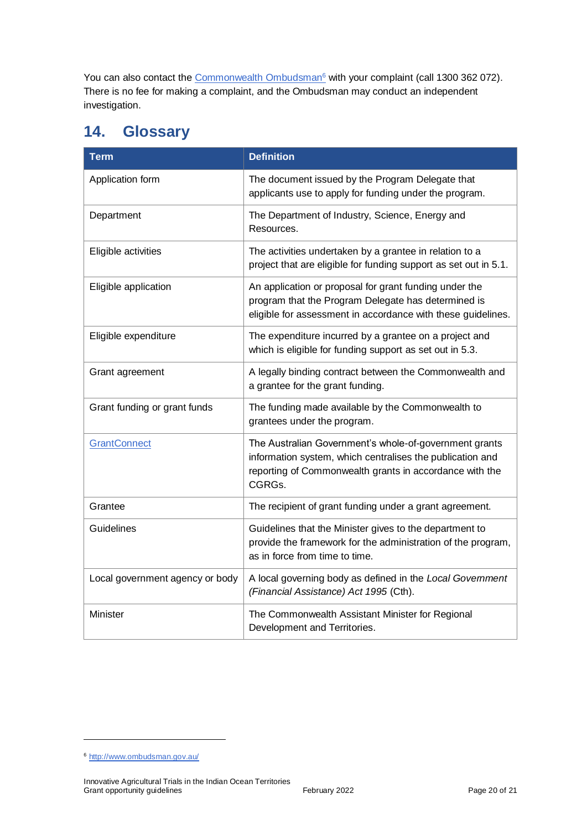You can also contact th[e Commonwealth Ombudsman](http://www.ombudsman.gov.au/)<sup>6</sup> with your complaint (call 1300 362 072). There is no fee for making a complaint, and the Ombudsman may conduct an independent investigation.

# <span id="page-19-0"></span>**14. Glossary**

| <b>Term</b>                     | <b>Definition</b>                                                                                                                                                                        |
|---------------------------------|------------------------------------------------------------------------------------------------------------------------------------------------------------------------------------------|
| Application form                | The document issued by the Program Delegate that<br>applicants use to apply for funding under the program.                                                                               |
| Department                      | The Department of Industry, Science, Energy and<br>Resources.                                                                                                                            |
| Eligible activities             | The activities undertaken by a grantee in relation to a<br>project that are eligible for funding support as set out in 5.1.                                                              |
| Eligible application            | An application or proposal for grant funding under the<br>program that the Program Delegate has determined is<br>eligible for assessment in accordance with these guidelines.            |
| Eligible expenditure            | The expenditure incurred by a grantee on a project and<br>which is eligible for funding support as set out in 5.3.                                                                       |
| Grant agreement                 | A legally binding contract between the Commonwealth and<br>a grantee for the grant funding.                                                                                              |
| Grant funding or grant funds    | The funding made available by the Commonwealth to<br>grantees under the program.                                                                                                         |
| <b>GrantConnect</b>             | The Australian Government's whole-of-government grants<br>information system, which centralises the publication and<br>reporting of Commonwealth grants in accordance with the<br>CGRGs. |
| Grantee                         | The recipient of grant funding under a grant agreement.                                                                                                                                  |
| Guidelines                      | Guidelines that the Minister gives to the department to<br>provide the framework for the administration of the program,<br>as in force from time to time.                                |
| Local government agency or body | A local governing body as defined in the Local Government<br>(Financial Assistance) Act 1995 (Cth).                                                                                      |
| Minister                        | The Commonwealth Assistant Minister for Regional<br>Development and Territories.                                                                                                         |

 $\overline{a}$ 

<sup>6</sup> <http://www.ombudsman.gov.au/>